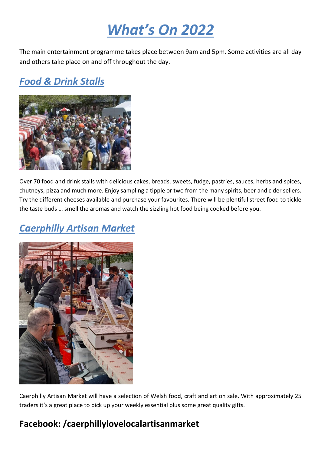# *What's On 2022*

The main entertainment programme takes place between 9am and 5pm. Some activities are all day and others take place on and off throughout the day.

# *Food & Drink Stalls*



Over 70 food and drink stalls with delicious cakes, breads, sweets, fudge, pastries, sauces, herbs and spices, chutneys, pizza and much more. Enjoy sampling a tipple or two from the many spirits, beer and cider sellers. Try the different cheeses available and purchase your favourites. There will be plentiful street food to tickle the taste buds … smell the aromas and watch the sizzling hot food being cooked before you.

# *Caerphilly Artisan Market*



Caerphilly Artisan Market will have a selection of Welsh food, craft and art on sale. With approximately 25 traders it's a great place to pick up your weekly essential plus some great quality gifts.

### **[Facebook:](https://www.facebook.com/Caerphilly-Farmers-Market-1626916647536398/) /caerphillylovelocalartisanmarket**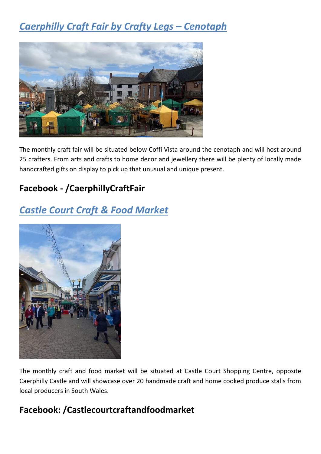# *Caerphilly Craft Fair by Crafty Legs – Cenotaph*



The monthly craft fair will be situated below Coffi Vista around the cenotaph and will host around 25 crafters. From arts and crafts to home decor and jewellery there will be plenty of locally made handcrafted gifts on display to pick up that unusual and unique present.

### **[Facebook](https://eur03.safelinks.protection.outlook.com/?url=http%3A%2F%2Fwww.facebook.com%2Fsearch%2Ftop%3Fq%3Dcaerphilly%2520craft%2520fair%2520by%2520crafty%2520legs&data=04%7C01%7CFRANCS1%40CAERPHILLY.GOV.UK%7Ce3d76b3cb53745710db508da10ffe339%7C5a3d68bcadcf462e918129b4b42b314d%7C0%7C0%7C637840988474743800%7CUnknown%7CTWFpbGZsb3d8eyJWIjoiMC4wLjAwMDAiLCJQIjoiV2luMzIiLCJBTiI6Ik1haWwiLCJXVCI6Mn0%3D%7C3000&sdata=ZGz0CntvDmaO7GKgh1HOCcFRvGqwQQ4kRssAm55BC8k%3D&reserved=0) - /CaerphillyCraftFair**

# *Castle Court Craft & Food Market*



The monthly craft and food market will be situated at Castle Court Shopping Centre, opposite Caerphilly Castle and will showcase over 20 handmade craft and home cooked produce stalls from local producers in South Wales.

### **Facebook: /Castlecourtcraftandfoodmarket**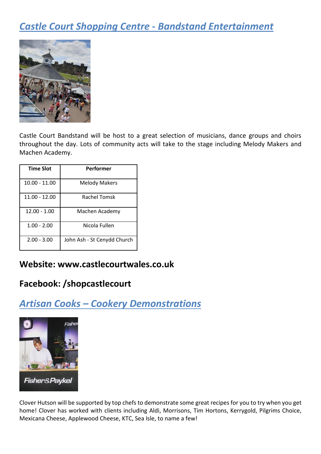# *Castle Court Shopping Centre - Bandstand Entertainment*



Castle Court Bandstand will be host to a great selection of musicians, dance groups and choirs throughout the day. Lots of community acts will take to the stage including Melody Makers and Machen Academy.

| <b>Time Slot</b> | Performer                   |
|------------------|-----------------------------|
| $10.00 - 11.00$  | <b>Melody Makers</b>        |
| $11.00 - 12.00$  | Rachel Tomsk                |
| $12.00 - 1.00$   | Machen Academy              |
| $1.00 - 2.00$    | Nicola Fullen               |
| $2.00 - 3.00$    | John Ash - St Cenydd Church |

#### **Website: [www.castlecourtwales.co.uk](http://www.castlecourtwales.co.uk/)**

#### **Facebook: /shopcastlecourt**

### *Artisan Cooks – Cookery Demonstrations*



Clover Hutson will be supported by top chefs to demonstrate some great recipes for you to try when you get home! Clover has worked with clients including Aldi, Morrisons, Tim Hortons, Kerrygold, Pilgrims Choice, Mexicana Cheese, Applewood Cheese, KTC, Sea Isle, to name a few!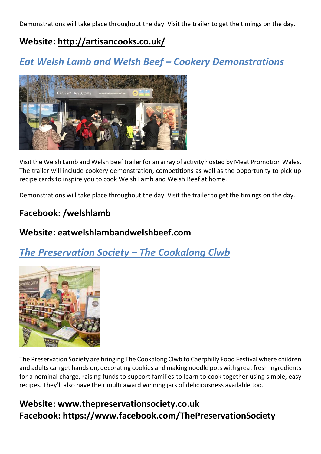Demonstrations will take place throughout the day. Visit the trailer to get the timings on the day.

### **Website:<http://artisancooks.co.uk/>**

# *Eat Welsh Lamb and Welsh Beef – Cookery Demonstrations*



Visit the Welsh Lamb and Welsh Beef trailer for an array of activity hosted by Meat Promotion Wales. The trailer will include cookery demonstration, competitions as well as the opportunity to pick up recipe cards to inspire you to cook Welsh Lamb and Welsh Beef at home.

Demonstrations will take place throughout the day. Visit the trailer to get the timings on the day.

### **Facebook: /welshlamb**

#### **Website: eatwelshlambandwelshbeef.com**

*The Preservation Society – The Cookalong Clwb* 



The Preservation Society are bringing The Cookalong Clwb to Caerphilly Food Festival where children and adults can get hands on, decorating cookies and making noodle pots with great fresh ingredients for a nominal charge, raising funds to support families to learn to cook together using simple, easy recipes. They'll also have their multi award winning jars of deliciousness available too.

### **Website: www.thepreservationsociety.co.uk Facebook: https://www.facebook.com/ThePreservationSociety**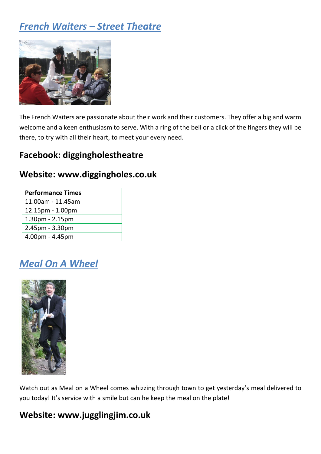# *French Waiters – Street Theatre*



The French Waiters are passionate about their work and their customers. They offer a big and warm welcome and a keen enthusiasm to serve. With a ring of the bell or a click of the fingers they will be there, to try with all their heart, to meet your every need.

### **Facebook: diggingholestheatre**

#### **Website: www.diggingholes.co.uk**

| <b>Performance Times</b> |
|--------------------------|
| 11.00am - 11.45am        |
| 12.15pm - 1.00pm         |
| 1.30pm - 2.15pm          |
| $2.45pm - 3.30pm$        |
| 4.00pm - 4.45pm          |

# *Meal On A Wheel*



Watch out as Meal on a Wheel comes whizzing through town to get yesterday's meal delivered to you today! It's service with a smile but can he keep the meal on the plate!

#### **Website: www.jugglingjim.co.uk**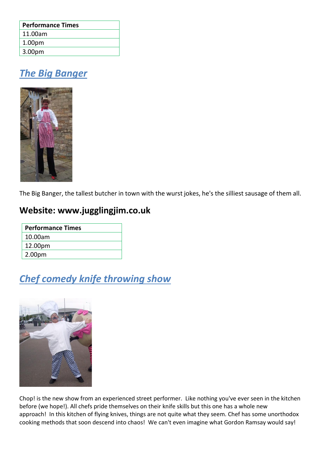| <b>Performance Times</b> |  |
|--------------------------|--|
| 11.00am                  |  |
| 1.00 <sub>pm</sub>       |  |
| 3.00pm                   |  |

# *The Big Banger*



The Big Banger, the tallest butcher in town with the wurst jokes, he's the silliest sausage of them all.

### **Website: www.jugglingjim.co.uk**

| <b>Performance Times</b> |  |
|--------------------------|--|
| 10.00am                  |  |
| 12.00pm                  |  |
| 2.00pm                   |  |

# *Chef comedy knife throwing show*



Chop! is the new show from an experienced street performer. Like nothing you've ever seen in the kitchen before (we hope!). All chefs pride themselves on their knife skills but this one has a whole new approach! In this kitchen of flying knives, things are not quite what they seem. Chef has some unorthodox cooking methods that soon descend into chaos! We can't even imagine what Gordon Ramsay would say!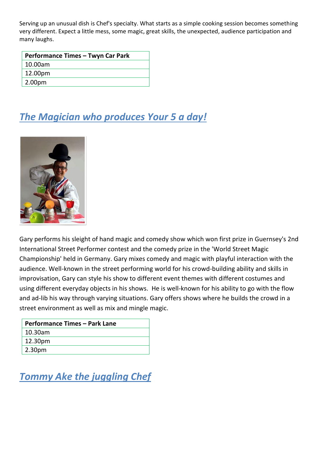Serving up an unusual dish is Chef's specialty. What starts as a simple cooking session becomes something very different. Expect a little mess, some magic, great skills, the unexpected, audience participation and many laughs.

| Performance Times - Twyn Car Park |
|-----------------------------------|
| 10.00am                           |
| 12.00pm                           |
| 2.00 <sub>pm</sub>                |

# *The Magician who produces Your 5 a day!*



Gary performs his sleight of hand magic and comedy show which won first prize in Guernsey's 2nd International Street Performer contest and the comedy prize in the 'World Street Magic Championship' held in Germany. Gary mixes comedy and magic with playful interaction with the audience. Well-known in the street performing world for his crowd-building ability and skills in improvisation, Gary can style his show to different event themes with different costumes and using different everyday objects in his shows. He is well-known for his ability to go with the flow and ad-lib his way through varying situations. Gary offers shows where he builds the crowd in a street environment as well as mix and mingle magic.

| <b>Performance Times - Park Lane</b> |  |
|--------------------------------------|--|
| 10.30am                              |  |
| 12.30pm                              |  |
| 2.30 <sub>pm</sub>                   |  |

# *Tommy Ake the juggling Chef*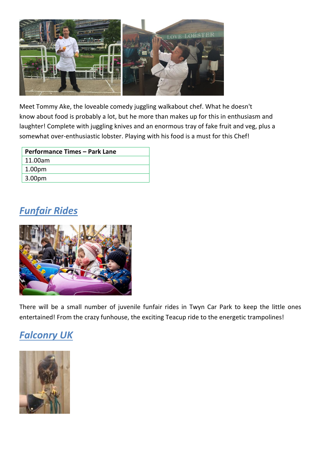

Meet Tommy Ake, the loveable comedy juggling walkabout chef. What he doesn't know about food is probably a lot, but he more than makes up for this in enthusiasm and laughter! Complete with juggling knives and an enormous tray of fake fruit and veg, plus a somewhat over-enthusiastic lobster. Playing with his food is a must for this Chef!

| Performance Times - Park Lane |
|-------------------------------|
| 11.00am                       |
| 1.00 <sub>pm</sub>            |
| 3.00 <sub>pm</sub>            |

# *Funfair Rides*



There will be a small number of juvenile funfair rides in Twyn Car Park to keep the little ones entertained! From the crazy funhouse, the exciting Teacup ride to the energetic trampolines!

# *Falconry UK*